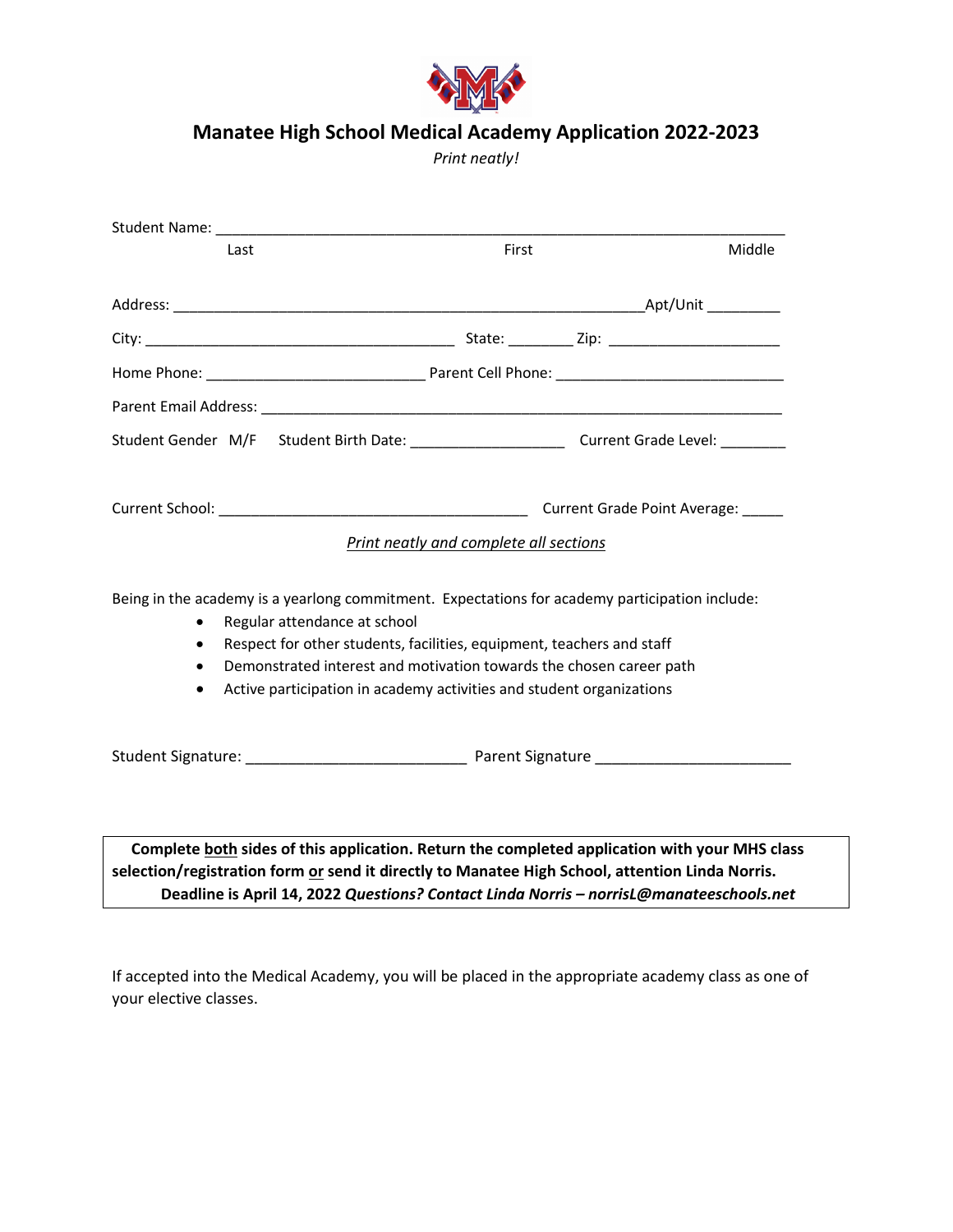

## **Manatee High School Medical Academy Application 2022-2023**

*Print neatly!*

|                                                                                                                                                                                                                                                                                                                                                                                  |                                                                               | Student Name: The Commission of the Commission of the Commission of the Commission of the Commission of the Commission of the Commission of the Commission of the Commission of the Commission of the Commission of the Commis |       |  |        |
|----------------------------------------------------------------------------------------------------------------------------------------------------------------------------------------------------------------------------------------------------------------------------------------------------------------------------------------------------------------------------------|-------------------------------------------------------------------------------|--------------------------------------------------------------------------------------------------------------------------------------------------------------------------------------------------------------------------------|-------|--|--------|
|                                                                                                                                                                                                                                                                                                                                                                                  | Last                                                                          |                                                                                                                                                                                                                                | First |  | Middle |
|                                                                                                                                                                                                                                                                                                                                                                                  |                                                                               |                                                                                                                                                                                                                                |       |  |        |
|                                                                                                                                                                                                                                                                                                                                                                                  |                                                                               |                                                                                                                                                                                                                                |       |  |        |
|                                                                                                                                                                                                                                                                                                                                                                                  |                                                                               |                                                                                                                                                                                                                                |       |  |        |
|                                                                                                                                                                                                                                                                                                                                                                                  |                                                                               |                                                                                                                                                                                                                                |       |  |        |
|                                                                                                                                                                                                                                                                                                                                                                                  |                                                                               |                                                                                                                                                                                                                                |       |  |        |
|                                                                                                                                                                                                                                                                                                                                                                                  | Current Grade Point Average:<br><b>Print neatly and complete all sections</b> |                                                                                                                                                                                                                                |       |  |        |
| Being in the academy is a yearlong commitment. Expectations for academy participation include:<br>Regular attendance at school<br>Respect for other students, facilities, equipment, teachers and staff<br>$\bullet$<br>Demonstrated interest and motivation towards the chosen career path<br>Active participation in academy activities and student organizations<br>$\bullet$ |                                                                               |                                                                                                                                                                                                                                |       |  |        |
|                                                                                                                                                                                                                                                                                                                                                                                  |                                                                               |                                                                                                                                                                                                                                |       |  |        |
|                                                                                                                                                                                                                                                                                                                                                                                  |                                                                               |                                                                                                                                                                                                                                |       |  |        |

 **Complete both sides of this application. Return the completed application with your MHS class selection/registration form or send it directly to Manatee High School, attention Linda Norris. Deadline is April 14, 2022** *Questions? Contact Linda Norris – norrisL@manateeschools.net*

If accepted into the Medical Academy, you will be placed in the appropriate academy class as one of your elective classes.